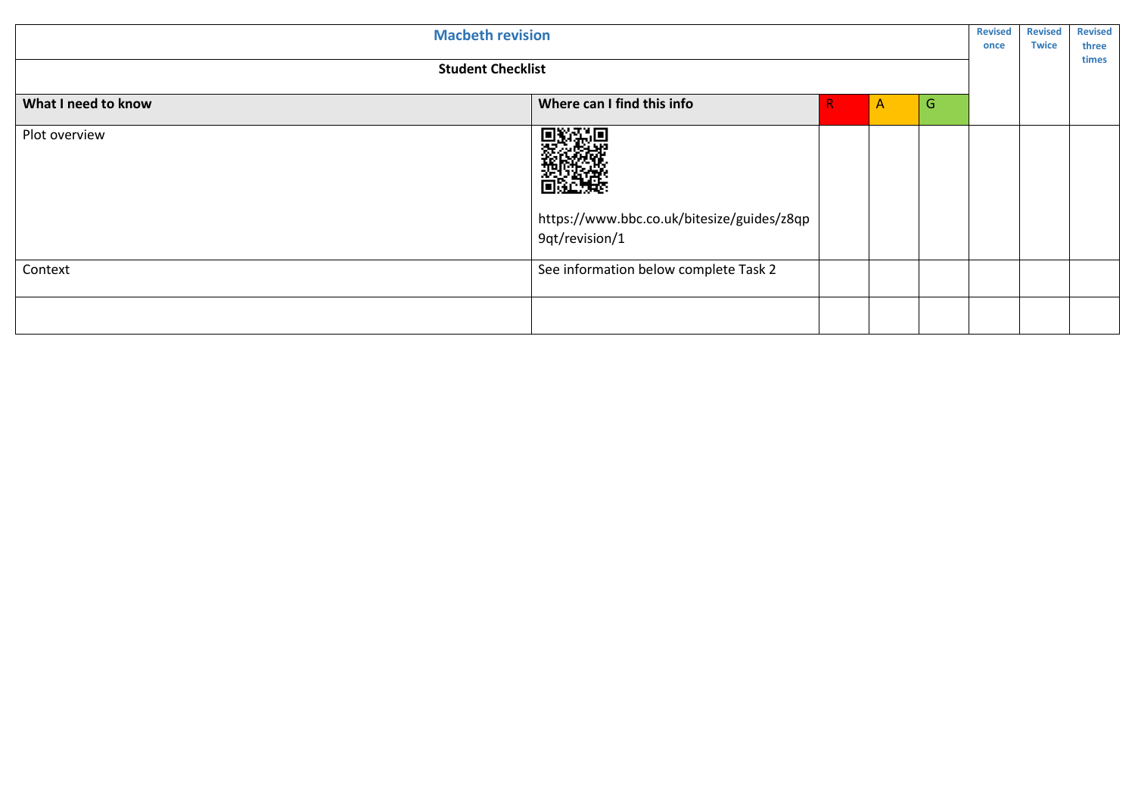| <b>Macbeth revision</b><br><b>Student Checklist</b> |                                                                                     |  |  | <b>Revised</b><br>once | <b>Revised</b><br><b>Twice</b> | <b>Revised</b><br>three<br>times |                     |
|-----------------------------------------------------|-------------------------------------------------------------------------------------|--|--|------------------------|--------------------------------|----------------------------------|---------------------|
|                                                     |                                                                                     |  |  |                        |                                |                                  | What I need to know |
| Plot overview                                       | <b>のます</b><br>このかには<br>https://www.bbc.co.uk/bitesize/guides/z8qp<br>9qt/revision/1 |  |  |                        |                                |                                  |                     |
| Context                                             | See information below complete Task 2                                               |  |  |                        |                                |                                  |                     |
|                                                     |                                                                                     |  |  |                        |                                |                                  |                     |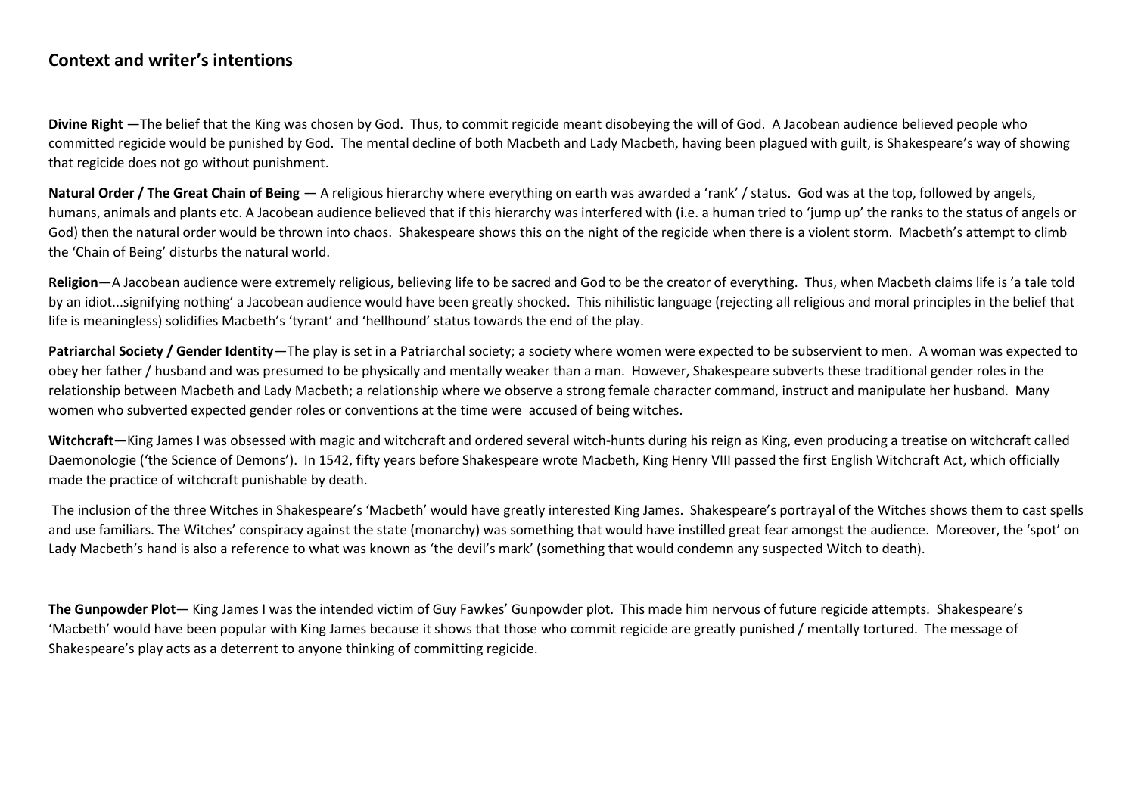## **Context and writer's intentions**

**Divine Right** —The belief that the King was chosen by God. Thus, to commit regicide meant disobeying the will of God. A Jacobean audience believed people who committed regicide would be punished by God. The mental decline of both Macbeth and Lady Macbeth, having been plagued with guilt, is Shakespeare's way of showing that regicide does not go without punishment.

Natural Order / The Great Chain of Being — A religious hierarchy where everything on earth was awarded a 'rank' / status. God was at the top, followed by angels, humans, animals and plants etc. A Jacobean audience believed that if this hierarchy was interfered with (i.e. a human tried to 'jump up' the ranks to the status of angels or God) then the natural order would be thrown into chaos. Shakespeare shows this on the night of the regicide when there is a violent storm. Macbeth's attempt to climb the 'Chain of Being' disturbs the natural world.

**Religion**—A Jacobean audience were extremely religious, believing life to be sacred and God to be the creator of everything. Thus, when Macbeth claims life is 'a tale told by an idiot...signifying nothing' a Jacobean audience would have been greatly shocked. This nihilistic language (rejecting all religious and moral principles in the belief that life is meaningless) solidifies Macbeth's 'tyrant' and 'hellhound' status towards the end of the play.

**Patriarchal Society / Gender Identity**—The play is set in a Patriarchal society; a society where women were expected to be subservient to men. A woman was expected to obey her father / husband and was presumed to be physically and mentally weaker than a man. However, Shakespeare subverts these traditional gender roles in the relationship between Macbeth and Lady Macbeth; a relationship where we observe a strong female character command, instruct and manipulate her husband. Many women who subverted expected gender roles or conventions at the time were accused of being witches.

**Witchcraft**—King James I was obsessed with magic and witchcraft and ordered several witch-hunts during his reign as King, even producing a treatise on witchcraft called Daemonologie ('the Science of Demons'). In 1542, fifty years before Shakespeare wrote Macbeth, King Henry VIII passed the first English Witchcraft Act, which officially made the practice of witchcraft punishable by death.

The inclusion of the three Witches in Shakespeare's 'Macbeth' would have greatly interested King James. Shakespeare's portrayal of the Witches shows them to cast spells and use familiars. The Witches' conspiracy against the state (monarchy) was something that would have instilled great fear amongst the audience. Moreover, the 'spot' on Lady Macbeth's hand is also a reference to what was known as 'the devil's mark' (something that would condemn any suspected Witch to death).

**The Gunpowder Plot**— King James I was the intended victim of Guy Fawkes' Gunpowder plot. This made him nervous of future regicide attempts. Shakespeare's 'Macbeth' would have been popular with King James because it shows that those who commit regicide are greatly punished / mentally tortured. The message of Shakespeare's play acts as a deterrent to anyone thinking of committing regicide.